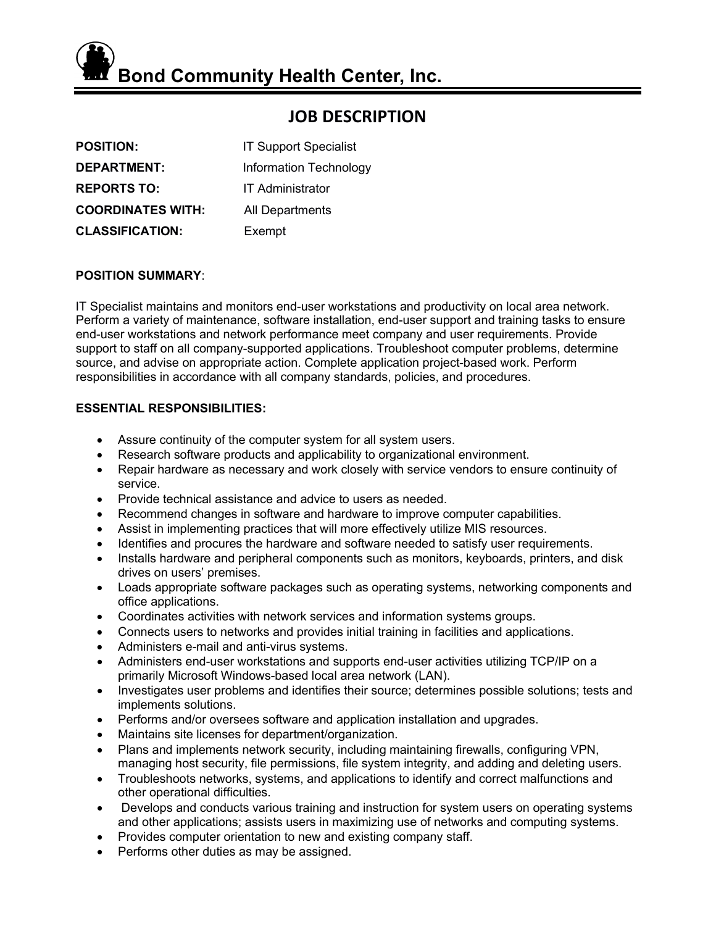**Bond Community Health Center, Inc.**

# **JOB DESCRIPTION**

| <b>POSITION:</b>         | <b>IT Support Specialist</b>  |
|--------------------------|-------------------------------|
| <b>DEPARTMENT:</b>       | <b>Information Technology</b> |
| <b>REPORTS TO:</b>       | <b>IT Administrator</b>       |
| <b>COORDINATES WITH:</b> | All Departments               |
| <b>CLASSIFICATION:</b>   | Exempt                        |

# **POSITION SUMMARY**:

IT Specialist maintains and monitors end-user workstations and productivity on local area network. Perform a variety of maintenance, software installation, end-user support and training tasks to ensure end-user workstations and network performance meet company and user requirements. Provide support to staff on all company-supported applications. Troubleshoot computer problems, determine source, and advise on appropriate action. Complete application project-based work. Perform responsibilities in accordance with all company standards, policies, and procedures.

# **ESSENTIAL RESPONSIBILITIES:**

- Assure continuity of the computer system for all system users.
- Research software products and applicability to organizational environment.
- Repair hardware as necessary and work closely with service vendors to ensure continuity of service.
- Provide technical assistance and advice to users as needed.
- Recommend changes in software and hardware to improve computer capabilities.
- Assist in implementing practices that will more effectively utilize MIS resources.
- Identifies and procures the hardware and software needed to satisfy user requirements.
- Installs hardware and peripheral components such as monitors, keyboards, printers, and disk drives on users' premises.
- Loads appropriate software packages such as operating systems, networking components and office applications.
- Coordinates activities with network services and information systems groups.
- Connects users to networks and provides initial training in facilities and applications.
- Administers e-mail and anti-virus systems.
- Administers end-user workstations and supports end-user activities utilizing TCP/IP on a primarily Microsoft Windows-based local area network (LAN).
- Investigates user problems and identifies their source; determines possible solutions; tests and implements solutions.
- Performs and/or oversees software and application installation and upgrades.
- Maintains site licenses for department/organization.
- Plans and implements network security, including maintaining firewalls, configuring VPN, managing host security, file permissions, file system integrity, and adding and deleting users.
- Troubleshoots networks, systems, and applications to identify and correct malfunctions and other operational difficulties.
- Develops and conducts various training and instruction for system users on operating systems and other applications; assists users in maximizing use of networks and computing systems.
- Provides computer orientation to new and existing company staff.
- Performs other duties as may be assigned.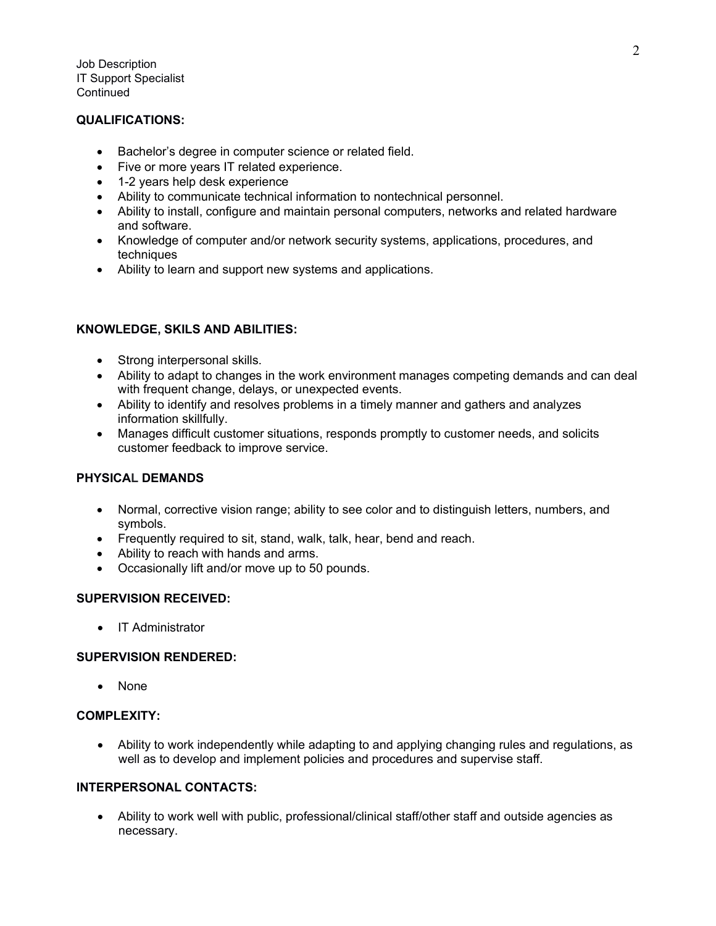Job Description IT Support Specialist **Continued** 

# **QUALIFICATIONS:**

- Bachelor's degree in computer science or related field.
- Five or more years IT related experience.
- 1-2 years help desk experience
- Ability to communicate technical information to nontechnical personnel.
- Ability to install, configure and maintain personal computers, networks and related hardware and software.
- Knowledge of computer and/or network security systems, applications, procedures, and techniques
- Ability to learn and support new systems and applications.

## **KNOWLEDGE, SKILS AND ABILITIES:**

- Strong interpersonal skills.
- Ability to adapt to changes in the work environment manages competing demands and can deal with frequent change, delays, or unexpected events.
- Ability to identify and resolves problems in a timely manner and gathers and analyzes information skillfully.
- Manages difficult customer situations, responds promptly to customer needs, and solicits customer feedback to improve service.

# **PHYSICAL DEMANDS**

- Normal, corrective vision range; ability to see color and to distinguish letters, numbers, and symbols.
- Frequently required to sit, stand, walk, talk, hear, bend and reach.
- Ability to reach with hands and arms.
- Occasionally lift and/or move up to 50 pounds.

#### **SUPERVISION RECEIVED:**

• IT Administrator

## **SUPERVISION RENDERED:**

• None

#### **COMPLEXITY:**

• Ability to work independently while adapting to and applying changing rules and regulations, as well as to develop and implement policies and procedures and supervise staff.

## **INTERPERSONAL CONTACTS:**

• Ability to work well with public, professional/clinical staff/other staff and outside agencies as necessary.